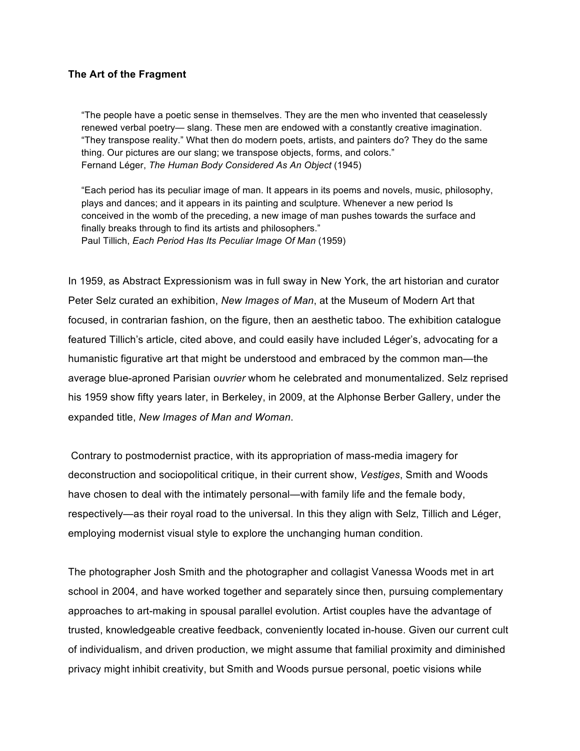## **The Art of the Fragment**

"The people have a poetic sense in themselves. They are the men who invented that ceaselessly renewed verbal poetry— slang. These men are endowed with a constantly creative imagination. "They transpose reality." What then do modern poets, artists, and painters do? They do the same thing. Our pictures are our slang; we transpose objects, forms, and colors." Fernand Léger, *The Human Body Considered As An Object* (1945)

"Each period has its peculiar image of man. It appears in its poems and novels, music, philosophy, plays and dances; and it appears in its painting and sculpture. Whenever a new period Is conceived in the womb of the preceding, a new image of man pushes towards the surface and finally breaks through to find its artists and philosophers." Paul Tillich, *Each Period Has Its Peculiar Image Of Man* (1959)

In 1959, as Abstract Expressionism was in full sway in New York, the art historian and curator Peter Selz curated an exhibition, *New Images of Man*, at the Museum of Modern Art that focused, in contrarian fashion, on the figure, then an aesthetic taboo. The exhibition catalogue featured Tillich's article, cited above, and could easily have included Léger's, advocating for a humanistic figurative art that might be understood and embraced by the common man—the average blue-aproned Parisian o*uvrier* whom he celebrated and monumentalized. Selz reprised his 1959 show fifty years later, in Berkeley, in 2009, at the Alphonse Berber Gallery, under the expanded title, *New Images of Man and Woman*.

Contrary to postmodernist practice, with its appropriation of mass-media imagery for deconstruction and sociopolitical critique, in their current show, *Vestiges*, Smith and Woods have chosen to deal with the intimately personal—with family life and the female body, respectively—as their royal road to the universal. In this they align with Selz, Tillich and Léger, employing modernist visual style to explore the unchanging human condition.

The photographer Josh Smith and the photographer and collagist Vanessa Woods met in art school in 2004, and have worked together and separately since then, pursuing complementary approaches to art-making in spousal parallel evolution. Artist couples have the advantage of trusted, knowledgeable creative feedback, conveniently located in-house. Given our current cult of individualism, and driven production, we might assume that familial proximity and diminished privacy might inhibit creativity, but Smith and Woods pursue personal, poetic visions while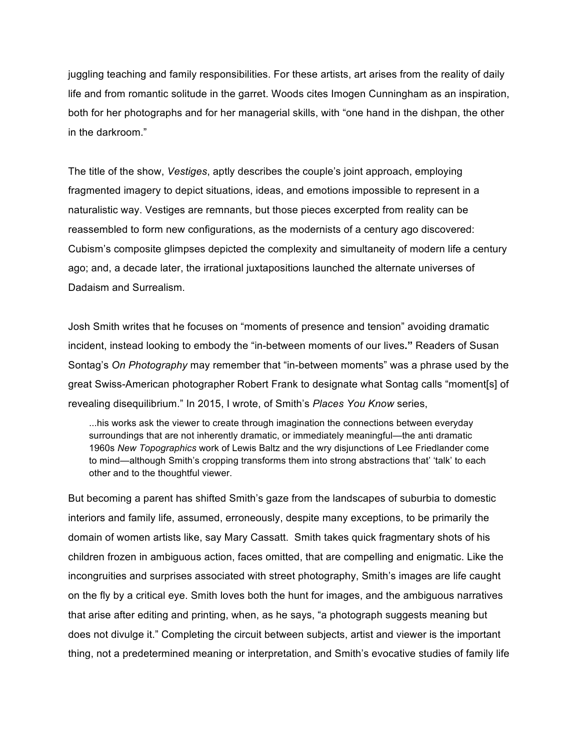juggling teaching and family responsibilities. For these artists, art arises from the reality of daily life and from romantic solitude in the garret. Woods cites Imogen Cunningham as an inspiration, both for her photographs and for her managerial skills, with "one hand in the dishpan, the other in the darkroom."

The title of the show, *Vestiges*, aptly describes the couple's joint approach, employing fragmented imagery to depict situations, ideas, and emotions impossible to represent in a naturalistic way. Vestiges are remnants, but those pieces excerpted from reality can be reassembled to form new configurations, as the modernists of a century ago discovered: Cubism's composite glimpses depicted the complexity and simultaneity of modern life a century ago; and, a decade later, the irrational juxtapositions launched the alternate universes of Dadaism and Surrealism.

Josh Smith writes that he focuses on "moments of presence and tension" avoiding dramatic incident, instead looking to embody the "in-between moments of our lives**."** Readers of Susan Sontag's *On Photography* may remember that "in-between moments" was a phrase used by the great Swiss-American photographer Robert Frank to designate what Sontag calls "moment[s] of revealing disequilibrium." In 2015, I wrote, of Smith's *Places You Know* series,

...his works ask the viewer to create through imagination the connections between everyday surroundings that are not inherently dramatic, or immediately meaningful—the anti dramatic 1960s *New Topographics* work of Lewis Baltz and the wry disjunctions of Lee Friedlander come to mind—although Smith's cropping transforms them into strong abstractions that' 'talk' to each other and to the thoughtful viewer.

But becoming a parent has shifted Smith's gaze from the landscapes of suburbia to domestic interiors and family life, assumed, erroneously, despite many exceptions, to be primarily the domain of women artists like, say Mary Cassatt. Smith takes quick fragmentary shots of his children frozen in ambiguous action, faces omitted, that are compelling and enigmatic. Like the incongruities and surprises associated with street photography, Smith's images are life caught on the fly by a critical eye. Smith loves both the hunt for images, and the ambiguous narratives that arise after editing and printing, when, as he says, "a photograph suggests meaning but does not divulge it." Completing the circuit between subjects, artist and viewer is the important thing, not a predetermined meaning or interpretation, and Smith's evocative studies of family life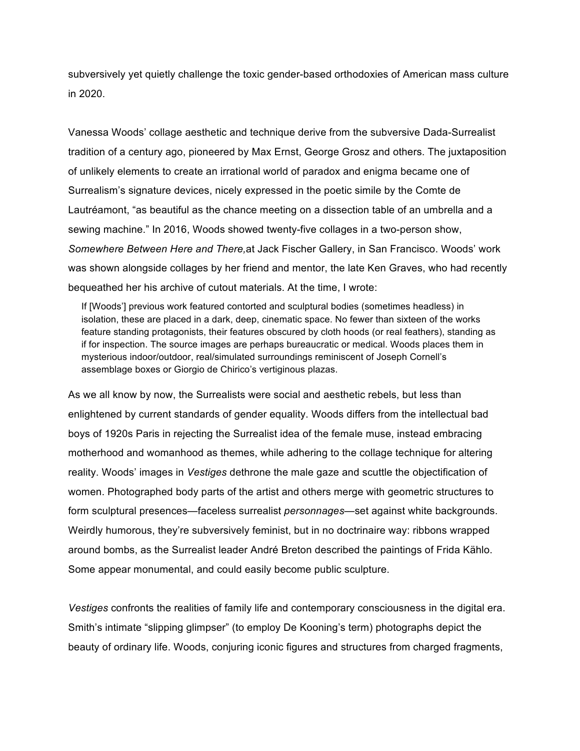subversively yet quietly challenge the toxic gender-based orthodoxies of American mass culture in 2020.

Vanessa Woods' collage aesthetic and technique derive from the subversive Dada-Surrealist tradition of a century ago, pioneered by Max Ernst, George Grosz and others. The juxtaposition of unlikely elements to create an irrational world of paradox and enigma became one of Surrealism's signature devices, nicely expressed in the poetic simile by the Comte de Lautréamont, "as beautiful as the chance meeting on a dissection table of an umbrella and a sewing machine." In 2016, Woods showed twenty-five collages in a two-person show, *Somewhere Between Here and There,*at Jack Fischer Gallery, in San Francisco. Woods' work was shown alongside collages by her friend and mentor, the late Ken Graves, who had recently bequeathed her his archive of cutout materials. At the time, I wrote:

If [Woods'] previous work featured contorted and sculptural bodies (sometimes headless) in isolation, these are placed in a dark, deep, cinematic space. No fewer than sixteen of the works feature standing protagonists, their features obscured by cloth hoods (or real feathers), standing as if for inspection. The source images are perhaps bureaucratic or medical. Woods places them in mysterious indoor/outdoor, real/simulated surroundings reminiscent of Joseph Cornell's assemblage boxes or Giorgio de Chirico's vertiginous plazas.

As we all know by now, the Surrealists were social and aesthetic rebels, but less than enlightened by current standards of gender equality. Woods differs from the intellectual bad boys of 1920s Paris in rejecting the Surrealist idea of the female muse, instead embracing motherhood and womanhood as themes, while adhering to the collage technique for altering reality. Woods' images in *Vestiges* dethrone the male gaze and scuttle the objectification of women. Photographed body parts of the artist and others merge with geometric structures to form sculptural presences—faceless surrealist *personnages*—set against white backgrounds. Weirdly humorous, they're subversively feminist, but in no doctrinaire way: ribbons wrapped around bombs, as the Surrealist leader André Breton described the paintings of Frida Kählo. Some appear monumental, and could easily become public sculpture.

*Vestiges* confronts the realities of family life and contemporary consciousness in the digital era. Smith's intimate "slipping glimpser" (to employ De Kooning's term) photographs depict the beauty of ordinary life. Woods, conjuring iconic figures and structures from charged fragments,